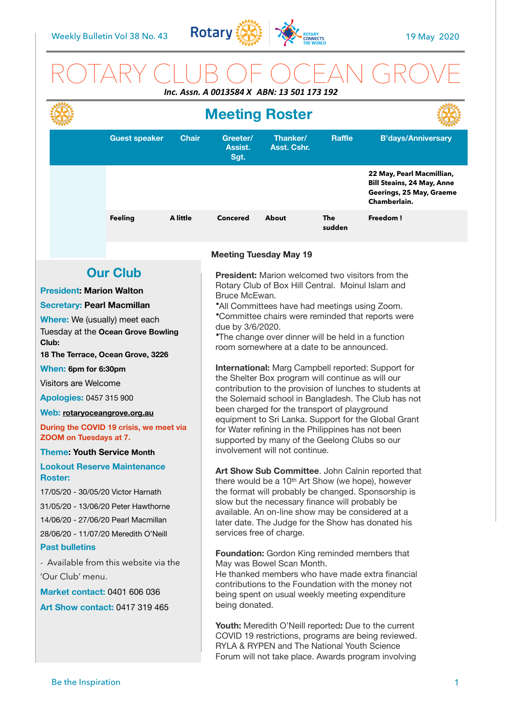

# ROTARY CLUB OF OCEAN GROVE

| Inc. Assn. A 0013584 X ABN: 13 501 173 192                                                                                                                                                                                                                                                                                                                                                                                                                                                                                                                                                                                                                                                                                                                                                                                         |                      |              |                                                                                                                                                                                                                                                                                                                                                                                                                                                                                                                                                                                                                                                                                                                                                                                                                                                                                                                                                                                                                                                                                                                                                                                                                                                                                                                                                                                                                                                                                                                                                                                                                                                                                                                                                         |                         |               |                                                                                                            |  |
|------------------------------------------------------------------------------------------------------------------------------------------------------------------------------------------------------------------------------------------------------------------------------------------------------------------------------------------------------------------------------------------------------------------------------------------------------------------------------------------------------------------------------------------------------------------------------------------------------------------------------------------------------------------------------------------------------------------------------------------------------------------------------------------------------------------------------------|----------------------|--------------|---------------------------------------------------------------------------------------------------------------------------------------------------------------------------------------------------------------------------------------------------------------------------------------------------------------------------------------------------------------------------------------------------------------------------------------------------------------------------------------------------------------------------------------------------------------------------------------------------------------------------------------------------------------------------------------------------------------------------------------------------------------------------------------------------------------------------------------------------------------------------------------------------------------------------------------------------------------------------------------------------------------------------------------------------------------------------------------------------------------------------------------------------------------------------------------------------------------------------------------------------------------------------------------------------------------------------------------------------------------------------------------------------------------------------------------------------------------------------------------------------------------------------------------------------------------------------------------------------------------------------------------------------------------------------------------------------------------------------------------------------------|-------------------------|---------------|------------------------------------------------------------------------------------------------------------|--|
|                                                                                                                                                                                                                                                                                                                                                                                                                                                                                                                                                                                                                                                                                                                                                                                                                                    |                      |              | <b>Meeting Roster</b>                                                                                                                                                                                                                                                                                                                                                                                                                                                                                                                                                                                                                                                                                                                                                                                                                                                                                                                                                                                                                                                                                                                                                                                                                                                                                                                                                                                                                                                                                                                                                                                                                                                                                                                                   |                         |               |                                                                                                            |  |
|                                                                                                                                                                                                                                                                                                                                                                                                                                                                                                                                                                                                                                                                                                                                                                                                                                    | <b>Guest speaker</b> | <b>Chair</b> | Greeter/<br>Assist.<br>Sgt.                                                                                                                                                                                                                                                                                                                                                                                                                                                                                                                                                                                                                                                                                                                                                                                                                                                                                                                                                                                                                                                                                                                                                                                                                                                                                                                                                                                                                                                                                                                                                                                                                                                                                                                             | Thanker/<br>Asst. Cshr. | <b>Raffle</b> | <b>B'days/Anniversary</b>                                                                                  |  |
|                                                                                                                                                                                                                                                                                                                                                                                                                                                                                                                                                                                                                                                                                                                                                                                                                                    |                      |              |                                                                                                                                                                                                                                                                                                                                                                                                                                                                                                                                                                                                                                                                                                                                                                                                                                                                                                                                                                                                                                                                                                                                                                                                                                                                                                                                                                                                                                                                                                                                                                                                                                                                                                                                                         |                         |               | 22 May, Pearl Macmillian,<br><b>Bill Steains, 24 May, Anne</b><br>Geerings, 25 May, Graeme<br>Chamberlain. |  |
|                                                                                                                                                                                                                                                                                                                                                                                                                                                                                                                                                                                                                                                                                                                                                                                                                                    | <b>Feeling</b>       | A little     | <b>Concered</b>                                                                                                                                                                                                                                                                                                                                                                                                                                                                                                                                                                                                                                                                                                                                                                                                                                                                                                                                                                                                                                                                                                                                                                                                                                                                                                                                                                                                                                                                                                                                                                                                                                                                                                                                         | <b>About</b>            | The<br>sudden | Freedom!                                                                                                   |  |
|                                                                                                                                                                                                                                                                                                                                                                                                                                                                                                                                                                                                                                                                                                                                                                                                                                    |                      |              |                                                                                                                                                                                                                                                                                                                                                                                                                                                                                                                                                                                                                                                                                                                                                                                                                                                                                                                                                                                                                                                                                                                                                                                                                                                                                                                                                                                                                                                                                                                                                                                                                                                                                                                                                         |                         |               |                                                                                                            |  |
| <b>Our Club</b><br><b>President: Marion Walton</b><br><b>Secretary: Pearl Macmillan</b><br>Where: We (usually) meet each<br>Tuesday at the Ocean Grove Bowling<br>Club:<br>18 The Terrace, Ocean Grove, 3226<br>When: 6pm for 6:30pm<br><b>Visitors are Welcome</b><br>Apologies: 0457 315 900<br>Web: rotaryoceangrove.org.au<br>During the COVID 19 crisis, we meet via<br>ZOOM on Tuesdays at 7.<br><b>Theme: Youth Service Month</b><br><b>Lookout Reserve Maintenance</b><br><b>Roster:</b><br>17/05/20 - 30/05/20 Victor Harnath<br>31/05/20 - 13/06/20 Peter Hawthorne<br>14/06/20 - 27/06/20 Pearl Macmillan<br>28/06/20 - 11/07/20 Meredith O'Neill<br><b>Past bulletins</b><br>- Available from this website via the<br>'Our Club' menu.<br><b>Market contact: 0401 606 036</b><br><b>Art Show contact: 0417 319 465</b> |                      |              | <b>Meeting Tuesday May 19</b><br><b>President:</b> Marion welcomed two visitors from the<br>Rotary Club of Box Hill Central. Moinul Islam and<br>Bruce McEwan.<br>*All Committees have had meetings using Zoom.<br>*Committee chairs were reminded that reports were<br>due by 3/6/2020.<br><i>*The change over dinner will be held in a function</i><br>room somewhere at a date to be announced.<br>International: Marg Campbell reported: Support for<br>the Shelter Box program will continue as will our<br>contribution to the provision of lunches to students at<br>the Solemaid school in Bangladesh. The Club has not<br>been charged for the transport of playground<br>equipment to Sri Lanka. Support for the Global Grant<br>for Water refining in the Philippines has not been<br>supported by many of the Geelong Clubs so our<br>involvement will not continue.<br>Art Show Sub Committee. John Calnin reported that<br>there would be a 10 <sup>th</sup> Art Show (we hope), however<br>the format will probably be changed. Sponsorship is<br>slow but the necessary finance will probably be<br>available. An on-line show may be considered at a<br>later date. The Judge for the Show has donated his<br>services free of charge.<br><b>Foundation:</b> Gordon King reminded members that<br>May was Bowel Scan Month.<br>He thanked members who have made extra financial<br>contributions to the Foundation with the money not<br>being spent on usual weekly meeting expenditure<br>being donated.<br><b>Youth:</b> Meredith O'Neill reported: Due to the current<br>COVID 19 restrictions, programs are being reviewed.<br>RYLA & RYPEN and The National Youth Science<br>Forum will not take place. Awards program involving |                         |               |                                                                                                            |  |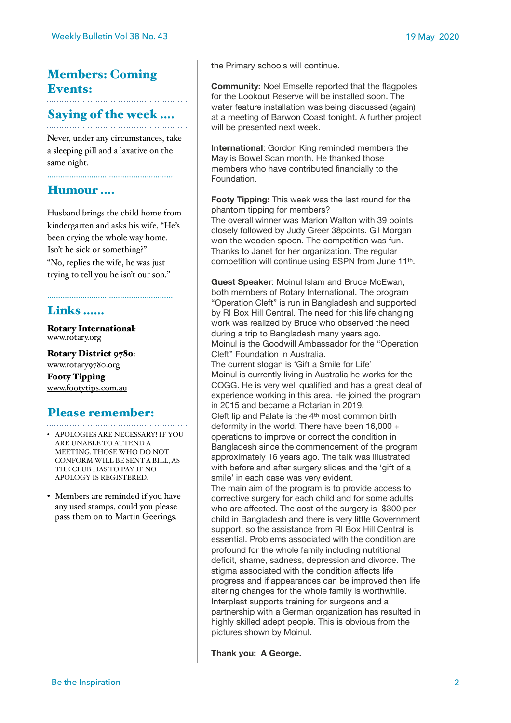## Members: Coming Events:

#### Saying of the week ….

Never, under any circumstances, take a sleeping pill and a laxative on the same night.

…………………………………………………

Humour ….

Husband brings the child home from kindergarten and asks his wife, "He's been crying the whole way home. Isn't he sick or something?" "No, replies the wife, he was just trying to tell you he isn't our son."

…………………………………………………

## Links ……

[Rotary International](https://www.rotary.org): [www.rotary.org](http://www.rotary.org)

[Rotary District 9780](http://rotary9780.org): [www.rotary9780.org](http://www.rotary9780.org)

[Footy Tipping](http://www.footytips.com.au) [www.footytips.com.au](http://www.footytips.com.au)

#### Please remember:

- APOLOGIES ARE NECESSARY! IF YOU ARE UNABLE TO ATTEND A MEETING. THOSE WHO DO NOT CONFORM WILL BE SENT A BILL, AS THE CLUB HAS TO PAY IF NO APOLOGY IS REGISTERED.
- Members are reminded if you have any used stamps, could you please pass them on to Martin Geerings.

the Primary schools will continue.

**Community:** Noel Emselle reported that the flagpoles for the Lookout Reserve will be installed soon. The water feature installation was being discussed (again) at a meeting of Barwon Coast tonight. A further project will be presented next week.

**International**: Gordon King reminded members the May is Bowel Scan month. He thanked those members who have contributed financially to the Foundation.

**Footy Tipping:** This week was the last round for the phantom tipping for members?

The overall winner was Marion Walton with 39 points closely followed by Judy Greer 38points. Gil Morgan won the wooden spoon. The competition was fun. Thanks to Janet for her organization. The regular competition will continue using ESPN from June 11th.

**Guest Speaker**: Moinul Islam and Bruce McEwan, both members of Rotary International. The program "Operation Cleft" is run in Bangladesh and supported by RI Box Hill Central. The need for this life changing work was realized by Bruce who observed the need during a trip to Bangladesh many years ago. Moinul is the Goodwill Ambassador for the "Operation Cleft" Foundation in Australia. The current slogan is 'Gift a Smile for Life' Moinul is currently living in Australia he works for the COGG. He is very well qualified and has a great deal of experience working in this area. He joined the program in 2015 and became a Rotarian in 2019. Cleft lip and Palate is the 4th most common birth deformity in the world. There have been 16,000 + operations to improve or correct the condition in

Bangladesh since the commencement of the program approximately 16 years ago. The talk was illustrated with before and after surgery slides and the 'gift of a smile' in each case was very evident.

The main aim of the program is to provide access to corrective surgery for each child and for some adults who are affected. The cost of the surgery is \$300 per child in Bangladesh and there is very little Government support, so the assistance from RI Box Hill Central is essential. Problems associated with the condition are profound for the whole family including nutritional deficit, shame, sadness, depression and divorce. The stigma associated with the condition affects life progress and if appearances can be improved then life altering changes for the whole family is worthwhile. Interplast supports training for surgeons and a partnership with a German organization has resulted in highly skilled adept people. This is obvious from the pictures shown by Moinul.

**Thank you: A George.**